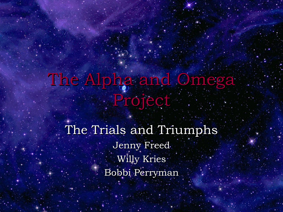# The Alpha and Omega Project

The Trials and Triumphs Jenny Freed Willy Kries Bobbi Perryman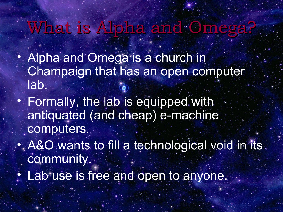## What is Alpha and Omega?

- Alpha and Omega is a church in Champaign that has an open computer lab.
- Formally, the lab is equipped with antiquated (and cheap) e-machine computers.
- A&O wants to fill a technological void in its. community.
	- Lab use is free and open to anyone.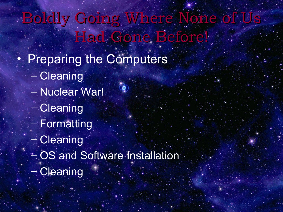Boldly Going Where None of Us. Had Gone Before!

 $\bullet$ 

- Preparing the Computers
	- Cleaning
	- Nuclear War!
	- Cleaning
	- Formatting
	- Cleaning
	- OS and Software Installation
	- Cleaning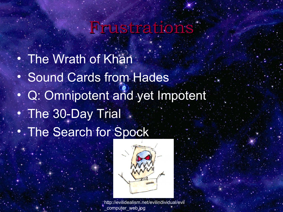### Frustrations

• The Wrath of Khan • Sound Cards from Hades • Q: Omnipotent and yet Impotent • The 30-Day Trial • The Search for Spock



http://evilidealism.net/evilindividual/evil computer\_web.jpg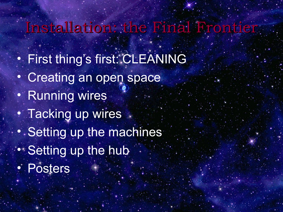#### Installation: the Final Frontier

- First thing's first: CLEANING
- Creating an open space
- Running wires
- Tacking up wires
- Setting up the machines
- Setting up the hub
- Posters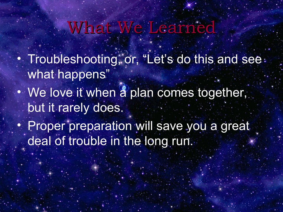## What We Learned

- Troubleshooting, or, "Let's do this and see: what happens"
- We love it when a plan comes together, but it rarely does.
- Proper preparation will save you a great deal of trouble in the long run.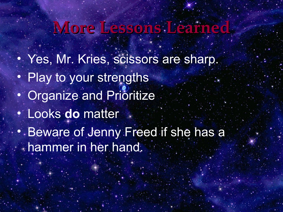## **More Lessons Learned**

- Yes, Mr. Kries, scissors are sharp.
- Play to your strengths
- Organize and Prioritize
- Looks **do** matter
- Beware of Jenny Freed if she has a hammer in her hand.